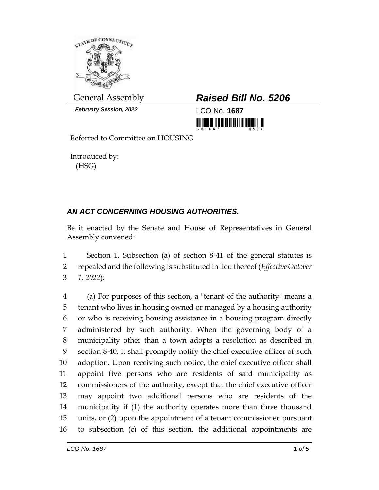

*February Session, 2022* LCO No. **1687**

## General Assembly *Raised Bill No. 5206*

<u> III di kacamatan ing Kabupatèn Ing Kabupatèn Ing Kabupatèn Ing Kabupatèn Ing Kabupatèn Ing Kabupatèn Ing Kabupatèn Ing Kabupatèn Ing Kabupatèn Ing Kabupatèn Ing Kabupatèn Ing Kabupatèn Ing Kabupatèn Ing Kabupatèn Ing Kab</u>

Referred to Committee on HOUSING

Introduced by: (HSG)

## *AN ACT CONCERNING HOUSING AUTHORITIES.*

Be it enacted by the Senate and House of Representatives in General Assembly convened:

 Section 1. Subsection (a) of section 8-41 of the general statutes is repealed and the following is substituted in lieu thereof (*Effective October 1, 2022*):

 (a) For purposes of this section, a "tenant of the authority" means a tenant who lives in housing owned or managed by a housing authority or who is receiving housing assistance in a housing program directly administered by such authority. When the governing body of a municipality other than a town adopts a resolution as described in section 8-40, it shall promptly notify the chief executive officer of such adoption. Upon receiving such notice, the chief executive officer shall appoint five persons who are residents of said municipality as commissioners of the authority, except that the chief executive officer may appoint two additional persons who are residents of the municipality if (1) the authority operates more than three thousand units, or (2) upon the appointment of a tenant commissioner pursuant to subsection (c) of this section, the additional appointments are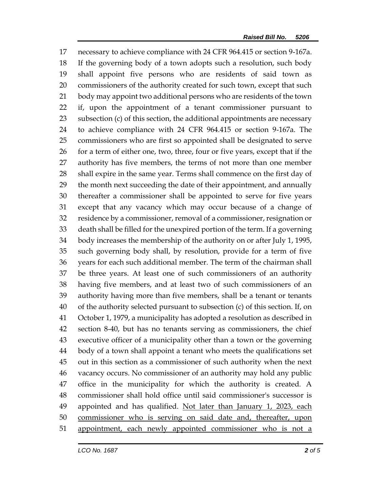necessary to achieve compliance with 24 CFR 964.415 or section 9-167a. If the governing body of a town adopts such a resolution, such body shall appoint five persons who are residents of said town as commissioners of the authority created for such town, except that such body may appoint two additional persons who are residents of the town if, upon the appointment of a tenant commissioner pursuant to subsection (c) of this section, the additional appointments are necessary to achieve compliance with 24 CFR 964.415 or section 9-167a. The commissioners who are first so appointed shall be designated to serve 26 for a term of either one, two, three, four or five years, except that if the authority has five members, the terms of not more than one member shall expire in the same year. Terms shall commence on the first day of the month next succeeding the date of their appointment, and annually thereafter a commissioner shall be appointed to serve for five years except that any vacancy which may occur because of a change of residence by a commissioner, removal of a commissioner, resignation or death shall be filled for the unexpired portion of the term. If a governing body increases the membership of the authority on or after July 1, 1995, such governing body shall, by resolution, provide for a term of five years for each such additional member. The term of the chairman shall be three years. At least one of such commissioners of an authority having five members, and at least two of such commissioners of an authority having more than five members, shall be a tenant or tenants of the authority selected pursuant to subsection (c) of this section. If, on October 1, 1979, a municipality has adopted a resolution as described in section 8-40, but has no tenants serving as commissioners, the chief executive officer of a municipality other than a town or the governing body of a town shall appoint a tenant who meets the qualifications set out in this section as a commissioner of such authority when the next vacancy occurs. No commissioner of an authority may hold any public office in the municipality for which the authority is created. A commissioner shall hold office until said commissioner's successor is 49 appointed and has qualified. Not later than January 1, 2023, each commissioner who is serving on said date and, thereafter, upon appointment, each newly appointed commissioner who is not a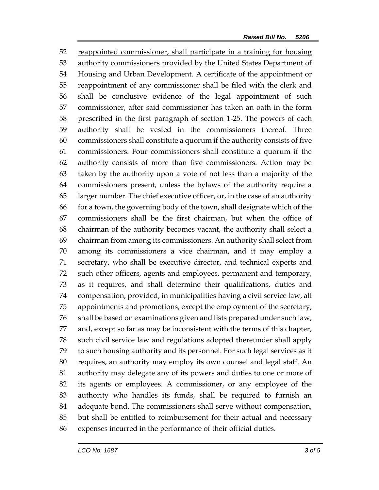reappointed commissioner, shall participate in a training for housing authority commissioners provided by the United States Department of 54 Housing and Urban Development. A certificate of the appointment or reappointment of any commissioner shall be filed with the clerk and shall be conclusive evidence of the legal appointment of such commissioner, after said commissioner has taken an oath in the form prescribed in the first paragraph of section 1-25. The powers of each authority shall be vested in the commissioners thereof. Three commissioners shall constitute a quorum if the authority consists of five commissioners. Four commissioners shall constitute a quorum if the authority consists of more than five commissioners. Action may be taken by the authority upon a vote of not less than a majority of the commissioners present, unless the bylaws of the authority require a larger number. The chief executive officer, or, in the case of an authority for a town, the governing body of the town, shall designate which of the commissioners shall be the first chairman, but when the office of chairman of the authority becomes vacant, the authority shall select a chairman from among its commissioners. An authority shall select from among its commissioners a vice chairman, and it may employ a secretary, who shall be executive director, and technical experts and such other officers, agents and employees, permanent and temporary, as it requires, and shall determine their qualifications, duties and compensation, provided, in municipalities having a civil service law, all appointments and promotions, except the employment of the secretary, shall be based on examinations given and lists prepared under such law, and, except so far as may be inconsistent with the terms of this chapter, such civil service law and regulations adopted thereunder shall apply to such housing authority and its personnel. For such legal services as it requires, an authority may employ its own counsel and legal staff. An authority may delegate any of its powers and duties to one or more of its agents or employees. A commissioner, or any employee of the authority who handles its funds, shall be required to furnish an adequate bond. The commissioners shall serve without compensation, but shall be entitled to reimbursement for their actual and necessary expenses incurred in the performance of their official duties.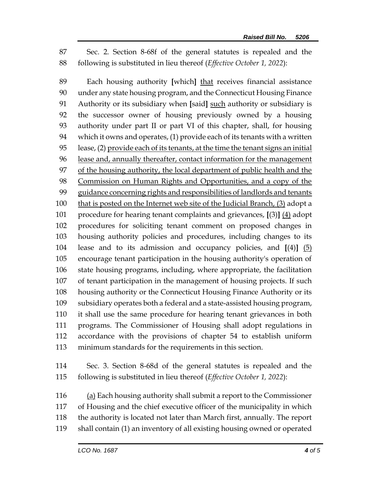Sec. 2. Section 8-68f of the general statutes is repealed and the following is substituted in lieu thereof (*Effective October 1, 2022*):

 Each housing authority **[**which**]** that receives financial assistance under any state housing program, and the Connecticut Housing Finance Authority or its subsidiary when **[**said**]** such authority or subsidiary is the successor owner of housing previously owned by a housing authority under part II or part VI of this chapter, shall, for housing which it owns and operates, (1) provide each of its tenants with a written lease, (2) provide each of its tenants, at the time the tenant signs an initial lease and, annually thereafter, contact information for the management of the housing authority, the local department of public health and the Commission on Human Rights and Opportunities, and a copy of the guidance concerning rights and responsibilities of landlords and tenants that is posted on the Internet web site of the Judicial Branch, (3) adopt a procedure for hearing tenant complaints and grievances, **[**(3)**]** (4) adopt procedures for soliciting tenant comment on proposed changes in housing authority policies and procedures, including changes to its lease and to its admission and occupancy policies, and **[**(4)**]** (5) encourage tenant participation in the housing authority's operation of state housing programs, including, where appropriate, the facilitation of tenant participation in the management of housing projects. If such housing authority or the Connecticut Housing Finance Authority or its subsidiary operates both a federal and a state-assisted housing program, it shall use the same procedure for hearing tenant grievances in both programs. The Commissioner of Housing shall adopt regulations in accordance with the provisions of chapter 54 to establish uniform minimum standards for the requirements in this section.

 Sec. 3. Section 8-68d of the general statutes is repealed and the following is substituted in lieu thereof (*Effective October 1, 2022*):

116 (a) Each housing authority shall submit a report to the Commissioner of Housing and the chief executive officer of the municipality in which the authority is located not later than March first, annually. The report shall contain (1) an inventory of all existing housing owned or operated